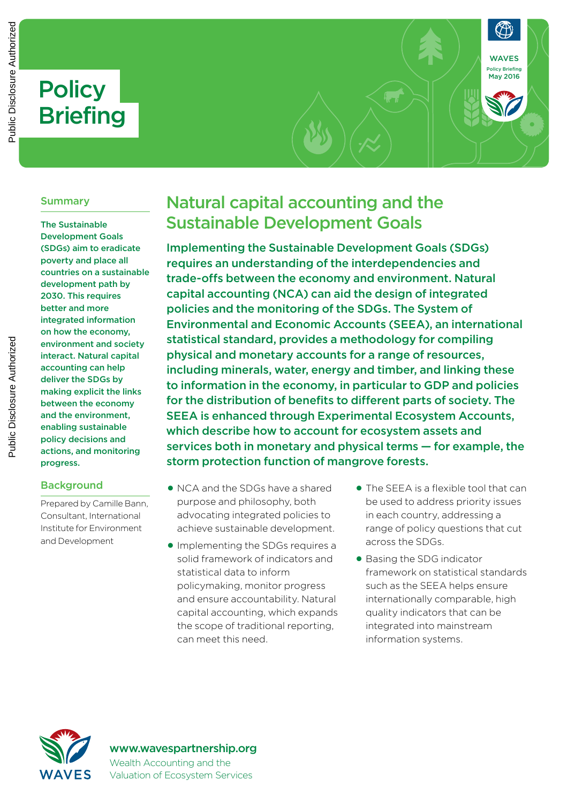# **Policy Briefing**

#### Summary

The Sustainable Development Goals (SDGs) aim to eradicate poverty and place all countries on a sustainable development path by 2030. This requires better and more integrated information on how the economy, environment and society interact. Natural capital accounting can help deliver the SDGs by making explicit the links between the economy and the environment, enabling sustainable policy decisions and actions, and monitoring progress.

#### **Background**

Prepared by Camille Bann, Consultant, International Institute for Environment and Development

## Natural capital accounting and the Sustainable Development Goals

Implementing the Sustainable Development Goals (SDGs) requires an understanding of the interdependencies and trade-offs between the economy and environment. Natural capital accounting (NCA) can aid the design of integrated policies and the monitoring of the SDGs. The System of Environmental and Economic Accounts (SEEA), an international statistical standard, provides a methodology for compiling physical and monetary accounts for a range of resources, including minerals, water, energy and timber, and linking these to information in the economy, in particular to GDP and policies for the distribution of benefits to different parts of society. The SEEA is enhanced through Experimental Ecosystem Accounts, which describe how to account for ecosystem assets and services both in monetary and physical terms — for example, the storm protection function of mangrove forests.

- NCA and the SDGs have a shared purpose and philosophy, both advocating integrated policies to achieve sustainable development.
- Implementing the SDGs requires a solid framework of indicators and statistical data to inform policymaking, monitor progress and ensure accountability. Natural capital accounting, which expands the scope of traditional reporting, can meet this need.
- The SFFA is a flexible tool that can be used to address priority issues in each country, addressing a range of policy questions that cut across the SDGs.

WAVES Policy Briefing May 2016

• Basing the SDG indicator framework on statistical standards such as the SEEA helps ensure internationally comparable, high quality indicators that can be integrated into mainstream information systems.



#### www.wavespartnership.org Wealth Accounting and the Valuation of Ecosystem Services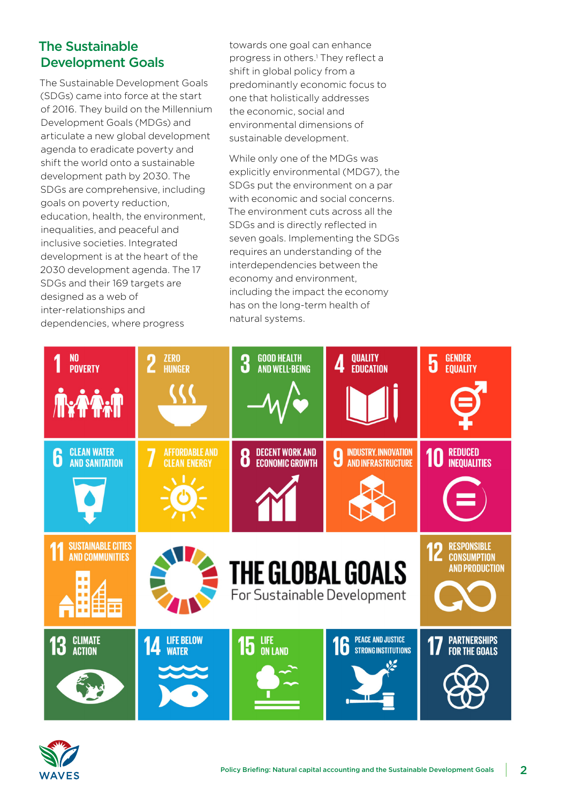## The Sustainable Development Goals

The Sustainable Development Goals (SDGs) came into force at the start of 2016. They build on the Millennium Development Goals (MDGs) and articulate a new global development agenda to eradicate poverty and shift the world onto a sustainable development path by 2030. The SDGs are comprehensive, including goals on poverty reduction, education, health, the environment, inequalities, and peaceful and inclusive societies. Integrated development is at the heart of the 2030 development agenda. The 17 SDGs and their 169 targets are designed as a web of inter-relationships and dependencies, where progress

towards one goal can enhance progress in others.<sup>1</sup> They reflect a shift in global policy from a predominantly economic focus to one that holistically addresses the economic, social and environmental dimensions of sustainable development.

While only one of the MDGs was explicitly environmental (MDG7), the SDGs put the environment on a par with economic and social concerns. The environment cuts across all the SDGs and is directly reflected in seven goals. Implementing the SDGs requires an understanding of the interdependencies between the economy and environment, including the impact the economy has on the long-term health of natural systems.



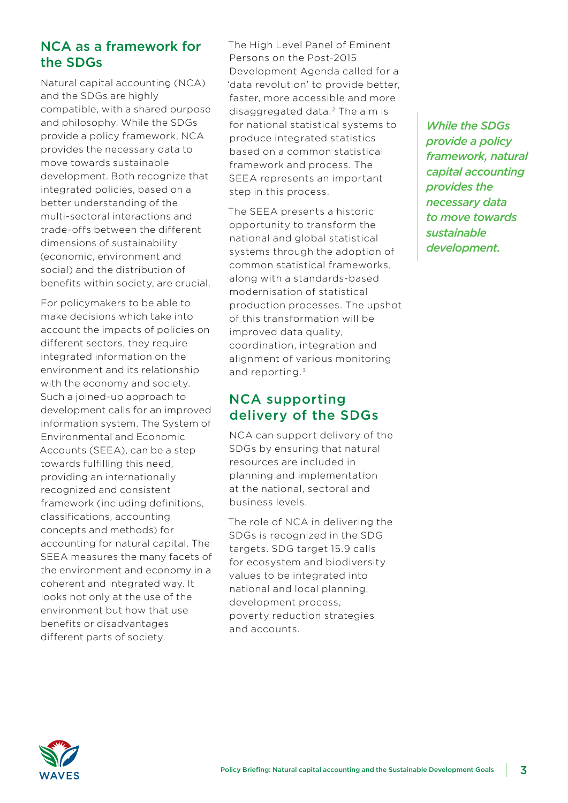#### NCA as a framework for the SDGs

Natural capital accounting (NCA) and the SDGs are highly compatible, with a shared purpose and philosophy. While the SDGs provide a policy framework, NCA provides the necessary data to move towards sustainable development. Both recognize that integrated policies, based on a better understanding of the multi-sectoral interactions and trade-offs between the different dimensions of sustainability (economic, environment and social) and the distribution of benefits within society, are crucial.

For policymakers to be able to make decisions which take into account the impacts of policies on different sectors, they require integrated information on the environment and its relationship with the economy and society. Such a joined-up approach to development calls for an improved information system. The System of Environmental and Economic Accounts (SEEA), can be a step towards fulfilling this need, providing an internationally recognized and consistent framework (including definitions, classifications, accounting concepts and methods) for accounting for natural capital. The SEEA measures the many facets of the environment and economy in a coherent and integrated way. It looks not only at the use of the environment but how that use benefits or disadvantages different parts of society.

The High Level Panel of Eminent Persons on the Post-2015 Development Agenda called for a 'data revolution' to provide better, faster, more accessible and more disaggregated data. 2 The aim is for national statistical systems to produce integrated statistics based on a common statistical framework and process. The SEEA represents an important step in this process.

The SEEA presents a historic opportunity to transform the national and global statistical systems through the adoption of common statistical frameworks, along with a standards-based modernisation of statistical production processes. The upshot of this transformation will be improved data quality, coordination, integration and alignment of various monitoring and reporting.3

### NCA supporting delivery of the SDGs

NCA can support delivery of the SDGs by ensuring that natural resources are included in planning and implementation at the national, sectoral and business levels.

The role of NCA in delivering the SDGs is recognized in the SDG targets. SDG target 15.9 calls for ecosystem and biodiversity values to be integrated into national and local planning, development process, poverty reduction strategies and accounts.

*While the SDGs provide a policy framework, natural capital accounting provides the necessary data to move towards sustainable development.*

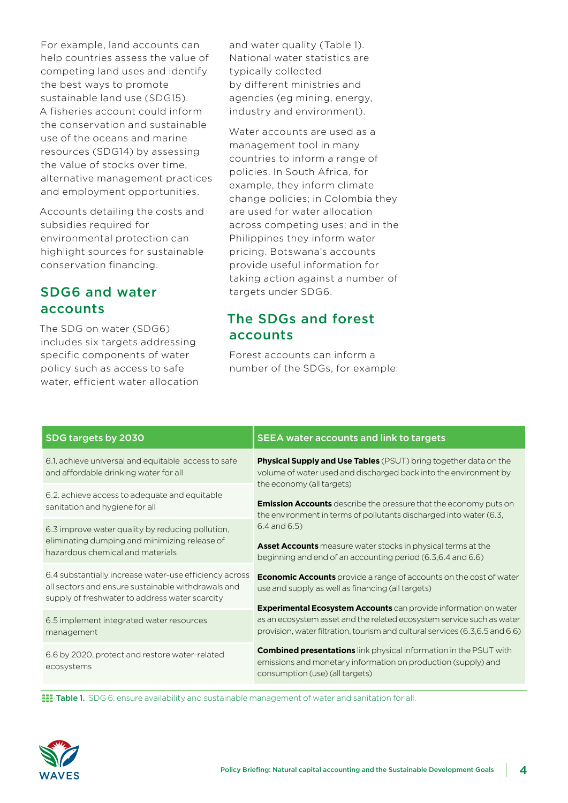For example, land accounts can help countries assess the value of competing land uses and identify the best ways to promote sustainable land use (SDG15). A fisheries account could inform the conservation and sustainable use of the oceans and marine resources (SDG14) by assessing the value of stocks over time, alternative management practices and employment opportunities.

Accounts detailing the costs and subsidies required for environmental protection can highlight sources for sustainable conservation financing.

## SDG6 and water accounts

The SDG on water (SDG6) includes six targets addressing specific components of water policy such as access to safe water, efficient water allocation and water quality (Table 1). National water statistics are typically collected by different ministries and agencies (eg mining, energy, industry and environment).

Water accounts are used as a management tool in many countries to inform a range of policies. In South Africa, for example, they inform climate change policies; in Colombia they are used for water allocation across competing uses; and in the Philippines they inform water pricing. Botswana's accounts provide useful information for taking action against a number of targets under SDG6.

## The SDGs and forest accounts

Forest accounts can inform a number of the SDGs, for example:

| SDG targets by 2030                                                                                                                                            | <b>SEEA water accounts and link to targets</b>                                                                                                                                                                                                                                                                            |
|----------------------------------------------------------------------------------------------------------------------------------------------------------------|---------------------------------------------------------------------------------------------------------------------------------------------------------------------------------------------------------------------------------------------------------------------------------------------------------------------------|
| 6.1. achieve universal and equitable access to safe<br>and affordable drinking water for all                                                                   | <b>Physical Supply and Use Tables</b> (PSUT) bring together data on the<br>volume of water used and discharged back into the environment by<br>the economy (all targets)<br><b>Emission Accounts</b> describe the pressure that the economy puts on<br>the environment in terms of pollutants discharged into water (6.3, |
| 6.2. achieve access to adequate and equitable<br>sanitation and hygiene for all                                                                                |                                                                                                                                                                                                                                                                                                                           |
| 6.3 improve water quality by reducing pollution,<br>eliminating dumping and minimizing release of<br>hazardous chemical and materials                          | $6.4$ and $6.5$ )<br>Asset Accounts measure water stocks in physical terms at the<br>beginning and end of an accounting period (6.3,6.4 and 6.6)                                                                                                                                                                          |
| 6.4 substantially increase water-use efficiency across<br>all sectors and ensure sustainable withdrawals and<br>supply of freshwater to address water scarcity | <b>Economic Accounts</b> provide a range of accounts on the cost of water<br>use and supply as well as financing (all targets)                                                                                                                                                                                            |
| 6.5 implement integrated water resources<br>management                                                                                                         | <b>Experimental Ecosystem Accounts</b> can provide information on water<br>as an ecosystem asset and the related ecosystem service such as water<br>provision, water filtration, tourism and cultural services (6.3,6.5 and 6.6)                                                                                          |
| 6.6 by 2020, protect and restore water-related<br>ecosystems                                                                                                   | <b>Combined presentations</b> link physical information in the PSUT with<br>emissions and monetary information on production (supply) and<br>consumption (use) (all targets)                                                                                                                                              |

**TET Table 1.** SDG 6: ensure availability and sustainable management of water and sanitation for all.

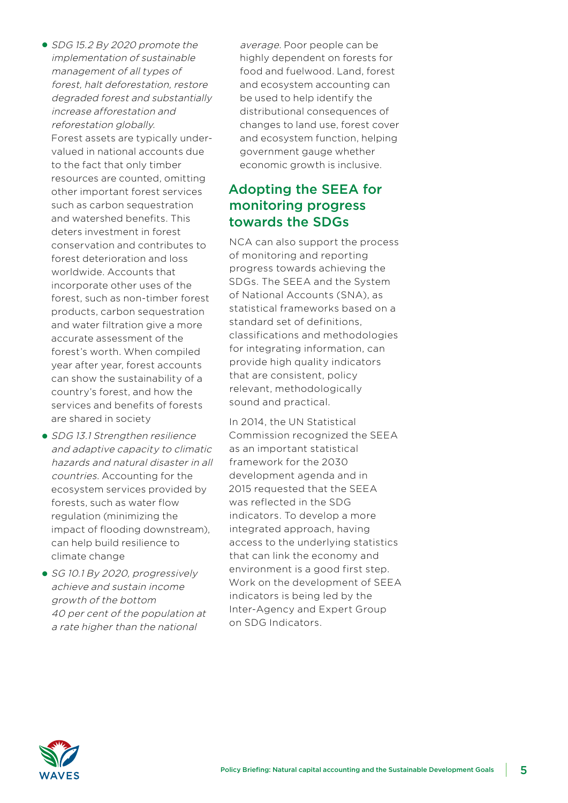- SDG 15.2 By 2020 promote the implementation of sustainable management of all types of forest, halt deforestation, restore degraded forest and substantially increase afforestation and reforestation globally. Forest assets are typically undervalued in national accounts due to the fact that only timber resources are counted, omitting other important forest services such as carbon sequestration and watershed benefits. This deters investment in forest conservation and contributes to forest deterioration and loss worldwide. Accounts that incorporate other uses of the forest, such as non-timber forest products, carbon sequestration and water filtration give a more accurate assessment of the forest's worth. When compiled year after year, forest accounts can show the sustainability of a country's forest, and how the services and benefits of forests are shared in society
- SDG 13.1 Strengthen resilience and adaptive capacity to climatic hazards and natural disaster in all countries. Accounting for the ecosystem services provided by forests, such as water flow regulation (minimizing the impact of flooding downstream), can help build resilience to climate change
- SG 10.1 By 2020, progressively achieve and sustain income growth of the bottom 40 per cent of the population at a rate higher than the national

average. Poor people can be highly dependent on forests for food and fuelwood. Land, forest and ecosystem accounting can be used to help identify the distributional consequences of changes to land use, forest cover and ecosystem function, helping government gauge whether economic growth is inclusive.

## Adopting the SEEA for monitoring progress towards the SDGs

NCA can also support the process of monitoring and reporting progress towards achieving the SDGs. The SEEA and the System of National Accounts (SNA), as statistical frameworks based on a standard set of definitions, classifications and methodologies for integrating information, can provide high quality indicators that are consistent, policy relevant, methodologically sound and practical.

In 2014, the UN Statistical Commission recognized the SEEA as an important statistical framework for the 2030 development agenda and in 2015 requested that the SEEA was reflected in the SDG indicators. To develop a more integrated approach, having access to the underlying statistics that can link the economy and environment is a good first step. Work on the development of SEEA indicators is being led by the Inter-Agency and Expert Group on SDG Indicators.

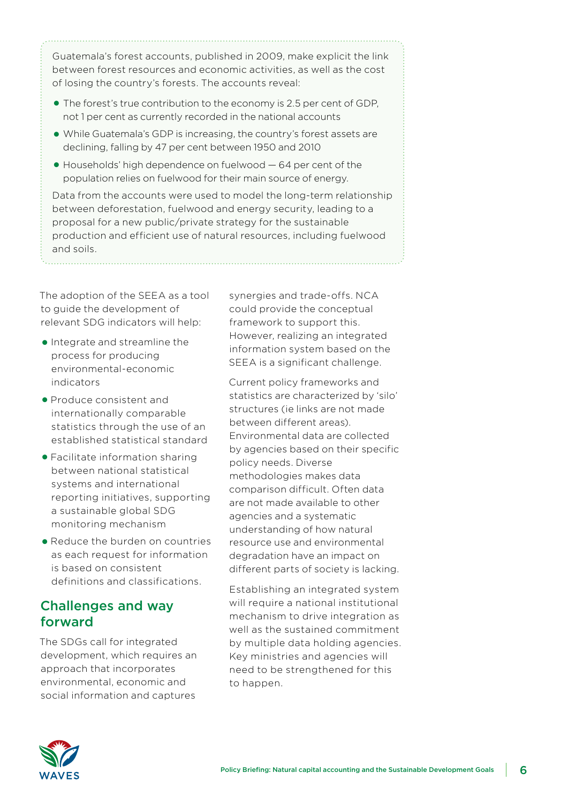Guatemala's forest accounts, published in 2009, make explicit the link between forest resources and economic activities, as well as the cost of losing the country's forests. The accounts reveal:

- $\bullet$  The forest's true contribution to the economy is 2.5 per cent of GDP. not 1 per cent as currently recorded in the national accounts
- While Guatemala's GDP is increasing, the country's forest assets are declining, falling by 47 per cent between 1950 and 2010
- $\bullet$  Households' high dependence on fuelwood  $-64$  per cent of the population relies on fuelwood for their main source of energy.

Data from the accounts were used to model the long-term relationship between deforestation, fuelwood and energy security, leading to a proposal for a new public/private strategy for the sustainable production and efficient use of natural resources, including fuelwood and soils.

The adoption of the SEEA as a tool to guide the development of relevant SDG indicators will help:

- Integrate and streamline the process for producing environmental-economic indicators
- Produce consistent and internationally comparable statistics through the use of an established statistical standard
- Facilitate information sharing between national statistical systems and international reporting initiatives, supporting a sustainable global SDG monitoring mechanism
- Reduce the burden on countries as each request for information is based on consistent definitions and classifications.

## Challenges and way forward

The SDGs call for integrated development, which requires an approach that incorporates environmental, economic and social information and captures

synergies and trade-offs. NCA could provide the conceptual framework to support this. However, realizing an integrated information system based on the SEEA is a significant challenge.

Current policy frameworks and statistics are characterized by 'silo' structures (ie links are not made between different areas). Environmental data are collected by agencies based on their specific policy needs. Diverse methodologies makes data comparison difficult. Often data are not made available to other agencies and a systematic understanding of how natural resource use and environmental degradation have an impact on different parts of society is lacking.

Establishing an integrated system will require a national institutional mechanism to drive integration as well as the sustained commitment by multiple data holding agencies. Key ministries and agencies will need to be strengthened for this to happen.

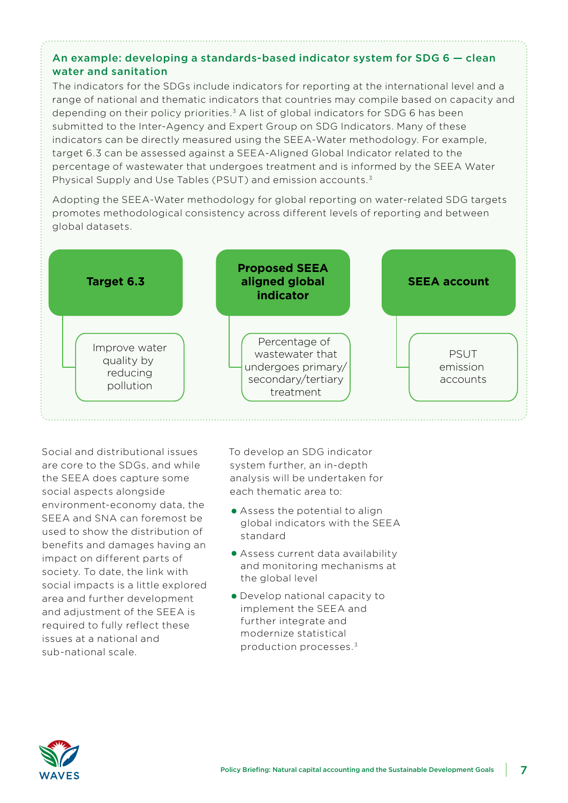#### An example: developing a standards-based indicator system for SDG 6 — clean water and sanitation

The indicators for the SDGs include indicators for reporting at the international level and a range of national and thematic indicators that countries may compile based on capacity and depending on their policy priorities.<sup>3</sup> A list of global indicators for SDG 6 has been submitted to the Inter-Agency and Expert Group on SDG Indicators. Many of these indicators can be directly measured using the SEEA-Water methodology. For example, target 6.3 can be assessed against a SEEA-Aligned Global Indicator related to the percentage of wastewater that undergoes treatment and is informed by the SEEA Water Physical Supply and Use Tables (PSUT) and emission accounts.3

Adopting the SEEA-Water methodology for global reporting on water-related SDG targets promotes methodological consistency across different levels of reporting and between global datasets.



Social and distributional issues are core to the SDGs, and while the SEEA does capture some social aspects alongside environment-economy data, the SEEA and SNA can foremost be used to show the distribution of benefits and damages having an impact on different parts of society. To date, the link with social impacts is a little explored area and further development and adjustment of the SEEA is required to fully reflect these issues at a national and sub-national scale.

To develop an SDG indicator system further, an in-depth analysis will be undertaken for each thematic area to:

- Assess the potential to align global indicators with the SEEA standard
- Assess current data availability and monitoring mechanisms at the global level
- • Develop national capacity to implement the SEEA and further integrate and modernize statistical production processes.3